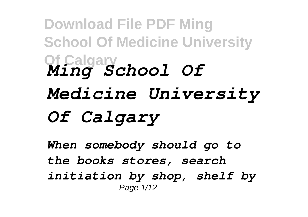## **Download File PDF Ming School Of Medicine University Of Calgary** *Ming School Of Medicine University Of Calgary*

*When somebody should go to the books stores, search initiation by shop, shelf by* Page 1/12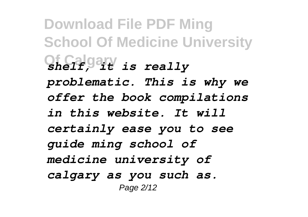**Download File PDF Ming School Of Medicine University Of Calgary** *shelf, it is really problematic. This is why we offer the book compilations in this website. It will certainly ease you to see guide ming school of medicine university of calgary as you such as.* Page 2/12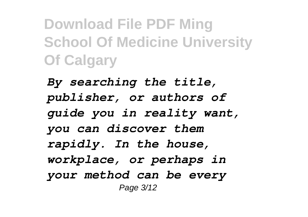**Download File PDF Ming School Of Medicine University Of Calgary**

*By searching the title, publisher, or authors of guide you in reality want, you can discover them rapidly. In the house, workplace, or perhaps in your method can be every* Page 3/12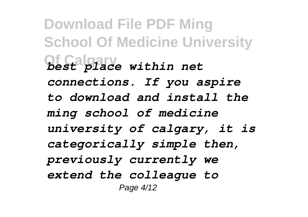**Download File PDF Ming School Of Medicine University Of Calgary** *best place within net connections. If you aspire to download and install the ming school of medicine university of calgary, it is categorically simple then, previously currently we extend the colleague to* Page 4/12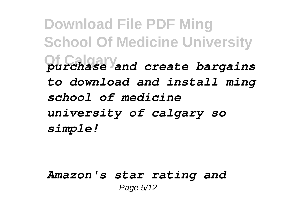**Download File PDF Ming School Of Medicine University Of Calgary** *purchase and create bargains to download and install ming school of medicine university of calgary so simple!*

## *Amazon's star rating and* Page 5/12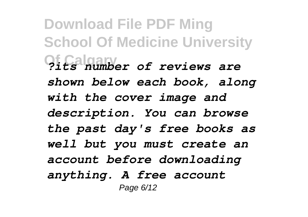**Download File PDF Ming School Of Medicine University Of Calgary** *?its number of reviews are shown below each book, along with the cover image and description. You can browse the past day's free books as well but you must create an account before downloading anything. A free account* Page 6/12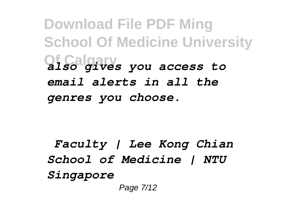**Download File PDF Ming School Of Medicine University Of Calgary** *also gives you access to email alerts in all the genres you choose.*

*Faculty | Lee Kong Chian School of Medicine | NTU Singapore* Page 7/12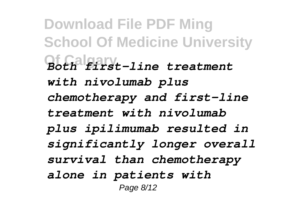**Download File PDF Ming School Of Medicine University Of Calgary** *Both first-line treatment with nivolumab plus chemotherapy and first-line treatment with nivolumab plus ipilimumab resulted in significantly longer overall survival than chemotherapy alone in patients with* Page 8/12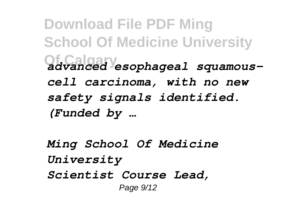**Download File PDF Ming School Of Medicine University Of Calgary** *advanced esophageal squamouscell carcinoma, with no new safety signals identified. (Funded by …*

*Ming School Of Medicine University Scientist Course Lead,* Page 9/12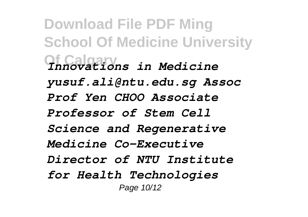**Download File PDF Ming School Of Medicine University Of Calgary** *Innovations in Medicine yusuf.ali@ntu.edu.sg Assoc Prof Yen CHOO Associate Professor of Stem Cell Science and Regenerative Medicine Co-Executive Director of NTU Institute for Health Technologies* Page 10/12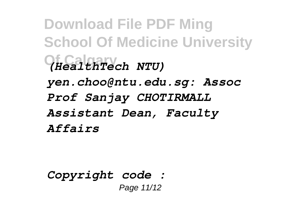**Download File PDF Ming School Of Medicine University Of Calgary** *(HealthTech NTU) yen.choo@ntu.edu.sg: Assoc Prof Sanjay CHOTIRMALL Assistant Dean, Faculty Affairs*

*Copyright code :*  Page 11/12